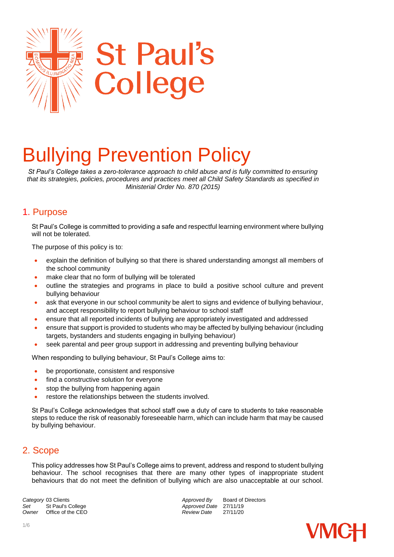

# Bullying Prevention Policy

*St Paul's College takes a zero-tolerance approach to child abuse and is fully committed to ensuring that its strategies, policies, procedures and practices meet all Child Safety Standards as specified in Ministerial Order No. 870 (2015)*

# 1. Purpose

St Paul's College is committed to providing a safe and respectful learning environment where bullying will not be tolerated.

The purpose of this policy is to:

- explain the definition of bullying so that there is shared understanding amongst all members of the school community
- make clear that no form of bullying will be tolerated
- outline the strategies and programs in place to build a positive school culture and prevent bullying behaviour
- ask that everyone in our school community be alert to signs and evidence of bullying behaviour, and accept responsibility to report bullying behaviour to school staff
- ensure that all reported incidents of bullying are appropriately investigated and addressed
- ensure that support is provided to students who may be affected by bullying behaviour (including targets, bystanders and students engaging in bullying behaviour)
- seek parental and peer group support in addressing and preventing bullying behaviour

When responding to bullying behaviour, St Paul's College aims to:

- be proportionate, consistent and responsive
- find a constructive solution for everyone
- stop the bullying from happening again
- restore the relationships between the students involved.

St Paul's College acknowledges that school staff owe a duty of care to students to take reasonable steps to reduce the risk of reasonably foreseeable harm, which can include harm that may be caused by bullying behaviour.

# 2. Scope

This policy addresses how St Paul's College aims to prevent, address and respond to student bullying behaviour. The school recognises that there are many other types of inappropriate student behaviours that do not meet the definition of bullying which are also unacceptable at our school.

**Category** 03 Clients **Approved By** Board of Directors *Approved By* Board of Directors *Approved Date* 27/11/19 Set St Paul's College *Set* Approved Date 27/11/19<br>
Owner Office of the CEO **Approved Date** 27/11/20 *Office of the CEO* 

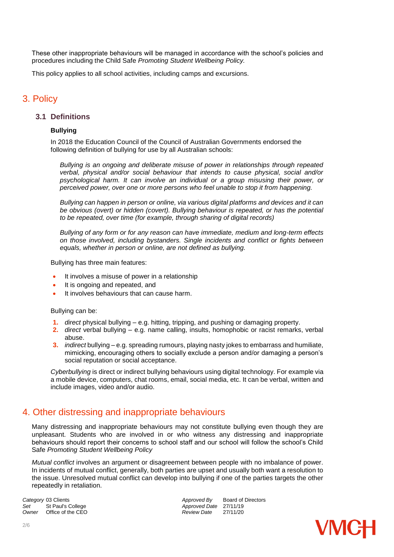These other inappropriate behaviours will be managed in accordance with the school's policies and procedures including the Child Safe *Promoting Student Wellbeing Policy.*

This policy applies to all school activities, including camps and excursions.

## 3. Policy

#### **3.1 Definitions**

#### **Bullying**

In 2018 the Education Council of the Council of Australian Governments endorsed the following definition of bullying for use by all Australian schools:

*Bullying is an ongoing and deliberate misuse of power in relationships through repeated verbal, physical and/or social behaviour that intends to cause physical, social and/or psychological harm. It can involve an individual or a group misusing their power, or perceived power, over one or more persons who feel unable to stop it from happening.*

*Bullying can happen in person or online, via various digital platforms and devices and it can be obvious (overt) or hidden (covert). Bullying behaviour is repeated, or has the potential to be repeated, over time (for example, through sharing of digital records)*

*Bullying of any form or for any reason can have immediate, medium and long-term effects on those involved, including bystanders. Single incidents and conflict or fights between equals, whether in person or online, are not defined as bullying.* 

Bullying has three main features:

- It involves a misuse of power in a relationship
- It is ongoing and repeated, and
- It involves behaviours that can cause harm.

Bullying can be:

- **1.** *direct* physical bullying e.g. hitting, tripping, and pushing or damaging property.
- **2.** *direct* verbal bullying e.g. name calling, insults, homophobic or racist remarks, verbal abuse.
- **3.** *indirect* bullying e.g. spreading rumours, playing nasty jokes to embarrass and humiliate, mimicking, encouraging others to socially exclude a person and/or damaging a person's social reputation or social acceptance.

*Cyberbullying* is direct or indirect bullying behaviours using digital technology. For example via a mobile device, computers, chat rooms, email, social media, etc. It can be verbal, written and include images, video and/or audio.

## 4. Other distressing and inappropriate behaviours

Many distressing and inappropriate behaviours may not constitute bullying even though they are unpleasant. Students who are involved in or who witness any distressing and inappropriate behaviours should report their concerns to school staff and our school will follow the school's Child Safe *Promoting Student Wellbeing Policy*

*Mutual conflict* involves an argument or disagreement between people with no imbalance of power. In incidents of mutual conflict, generally, both parties are upset and usually both want a resolution to the issue. Unresolved mutual conflict can develop into bullying if one of the parties targets the other repeatedly in retaliation.

**Category** 03 Clients<br> **Category** 03 Clients<br> **Approved Date 27/11/19**<br> *Approved Date* 27/11/19 Set St Paul's College *Set* St Paul's College *Approved Date* 27/11/19<br> *Owner* Office of the CEO *Approved Date* 27/11/20 *Office of the CEO* 

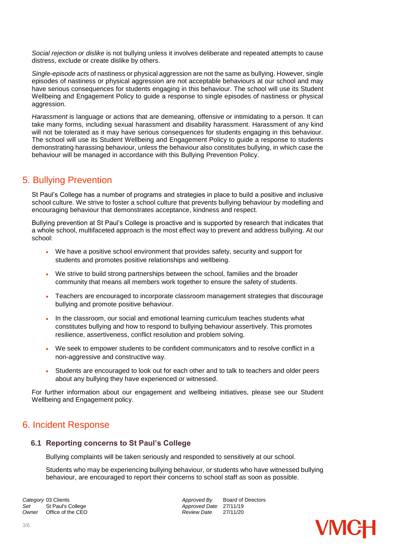*Social rejection or dislike* is not bullying unless it involves deliberate and repeated attempts to cause distress, exclude or create dislike by others.

*Single-episode acts* of nastiness or physical aggression are not the same as bullying. However, single episodes of nastiness or physical aggression are not acceptable behaviours at our school and may have serious consequences for students engaging in this behaviour. The school will use its Student Wellbeing and Engagement Policy to guide a response to single episodes of nastiness or physical aggression.

*Harassment* is language or actions that are demeaning, offensive or intimidating to a person. It can take many forms, including sexual harassment and disability harassment. Harassment of any kind will not be tolerated as it may have serious consequences for students engaging in this behaviour. The school will use its Student Wellbeing and Engagement Policy to guide a response to students demonstrating harassing behaviour, unless the behaviour also constitutes bullying, in which case the behaviour will be managed in accordance with this Bullying Prevention Policy.

# 5. Bullying Prevention

St Paul's College has a number of programs and strategies in place to build a positive and inclusive school culture. We strive to foster a school culture that prevents bullying behaviour by modelling and encouraging behaviour that demonstrates acceptance, kindness and respect.

Bullying prevention at St Paul's College is proactive and is supported by research that indicates that a whole school, multifaceted approach is the most effect way to prevent and address bullying. At our school:

- We have a positive school environment that provides safety, security and support for students and promotes positive relationships and wellbeing.
- We strive to build strong partnerships between the school, families and the broader community that means all members work together to ensure the safety of students.
- Teachers are encouraged to incorporate classroom management strategies that discourage bullying and promote positive behaviour.
- In the classroom, our social and emotional learning curriculum teaches students what constitutes bullying and how to respond to bullying behaviour assertively. This promotes resilience, assertiveness, conflict resolution and problem solving.
- We seek to empower students to be confident communicators and to resolve conflict in a non-aggressive and constructive way.
- Students are encouraged to look out for each other and to talk to teachers and older peers about any bullying they have experienced or witnessed.

For further information about our engagement and wellbeing initiatives, please see our Student Wellbeing and Engagement policy.

# 6. Incident Response

## **6.1 Reporting concerns to St Paul's College**

Bullying complaints will be taken seriously and responded to sensitively at our school.

Students who may be experiencing bullying behaviour, or students who have witnessed bullying behaviour, are encouraged to report their concerns to school staff as soon as possible.

**Category** 03 Clients **Approved By** Board of Directors *Approved By* Board of Directors *Approved Bate* 27/11/19 Set St Paul's College *Set* St Paul's College *Approved Date* 27/11/19<br> *Owner* Office of the CEO *Approved Date* 27/11/20 *Office of the CEO* 

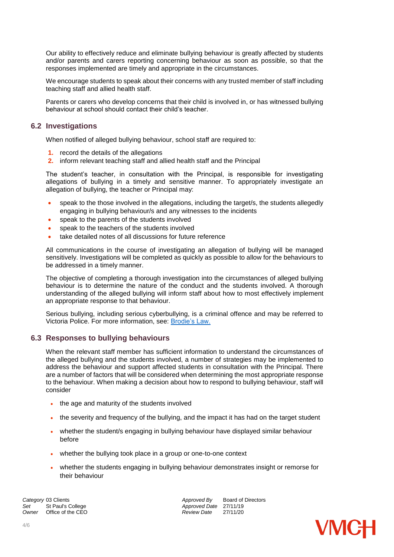Our ability to effectively reduce and eliminate bullying behaviour is greatly affected by students and/or parents and carers reporting concerning behaviour as soon as possible, so that the responses implemented are timely and appropriate in the circumstances.

We encourage students to speak about their concerns with any trusted member of staff including teaching staff and allied health staff.

Parents or carers who develop concerns that their child is involved in, or has witnessed bullying behaviour at school should contact their child's teacher.

#### **6.2 Investigations**

When notified of alleged bullying behaviour, school staff are required to:

- **1.** record the details of the allegations
- **2.** inform relevant teaching staff and allied health staff and the Principal

The student's teacher, in consultation with the Principal, is responsible for investigating allegations of bullying in a timely and sensitive manner. To appropriately investigate an allegation of bullying, the teacher or Principal may:

- speak to the those involved in the allegations, including the target/s, the students allegedly engaging in bullying behaviour/s and any witnesses to the incidents
- speak to the parents of the students involved
- speak to the teachers of the students involved
- take detailed notes of all discussions for future reference

All communications in the course of investigating an allegation of bullying will be managed sensitively. Investigations will be completed as quickly as possible to allow for the behaviours to be addressed in a timely manner.

The objective of completing a thorough investigation into the circumstances of alleged bullying behaviour is to determine the nature of the conduct and the students involved. A thorough understanding of the alleged bullying will inform staff about how to most effectively implement an appropriate response to that behaviour.

Serious bullying, including serious cyberbullying, is a criminal offence and may be referred to Victoria Police. For more information, see: [Brodie's Law.](http://www.education.vic.gov.au/about/programs/bullystoppers/Pages/advicesheetbrodieslaw.aspx)

#### **6.3 Responses to bullying behaviours**

When the relevant staff member has sufficient information to understand the circumstances of the alleged bullying and the students involved, a number of strategies may be implemented to address the behaviour and support affected students in consultation with the Principal. There are a number of factors that will be considered when determining the most appropriate response to the behaviour. When making a decision about how to respond to bullying behaviour, staff will consider

- the age and maturity of the students involved
- the severity and frequency of the bullying, and the impact it has had on the target student
- whether the student/s engaging in bullying behaviour have displayed similar behaviour before
- whether the bullying took place in a group or one-to-one context
- whether the students engaging in bullying behaviour demonstrates insight or remorse for their behaviour

**Category** 03 Clients **Approved By** Board of Directors *Approved By* Board of Directors *Approved Bate* 27/11/19 Set St Paul's College *Set* St Paul's College **Approved Date** 27/11/19<br> *Approved Date* 27/11/20 *Office of the CEO* 

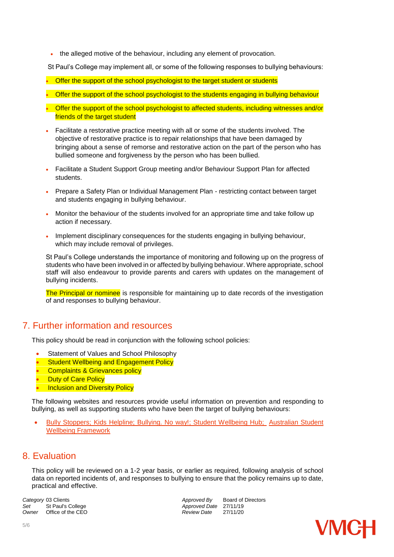the alleged motive of the behaviour, including any element of provocation.

St Paul's College may implement all, or some of the following responses to bullying behaviours:

- Offer the support of the school psychologist to the target student or students
- Offer the support of the school psychologist to the students engaging in bullying behaviour
- Offer the support of the school psychologist to affected students, including witnesses and/or friends of the target student
- Facilitate a restorative practice meeting with all or some of the students involved. The objective of restorative practice is to repair relationships that have been damaged by bringing about a sense of remorse and restorative action on the part of the person who has bullied someone and forgiveness by the person who has been bullied.
- Facilitate a Student Support Group meeting and/or Behaviour Support Plan for affected students.
- Prepare a Safety Plan or Individual Management Plan restricting contact between target and students engaging in bullying behaviour.
- Monitor the behaviour of the students involved for an appropriate time and take follow up action if necessary.
- Implement disciplinary consequences for the students engaging in bullying behaviour, which may include removal of privileges.

St Paul's College understands the importance of monitoring and following up on the progress of students who have been involved in or affected by bullying behaviour. Where appropriate, school staff will also endeavour to provide parents and carers with updates on the management of bullying incidents.

The Principal or nominee is responsible for maintaining up to date records of the investigation of and responses to bullying behaviour.

## 7. Further information and resources

This policy should be read in conjunction with the following school policies:

- Statement of Values and School Philosophy
- Student Wellbeing and Engagement Policy
- Complaints & Grievances policy
- **Duty of Care Policy**
- **Inclusion and Diversity Policy**

The following websites and resources provide useful information on prevention and responding to bullying, as well as supporting students who have been the target of bullying behaviours:

 [Bully Stoppers;](https://bullyingnoway.gov.au/PreventingBullying/Planning/Pages/School-policy.aspx) [Kids Helpline;](https://kidshelpline.com.au/) [Bullying. No way!;](https://bullyingnoway.gov.au/PreventingBullying/Planning/Pages/School-policy.aspx) [Student Wellbeing Hub;](https://www.studentwellbeinghub.edu.au/) [Australian Student](https://www.studentwellbeinghub.edu.au/resources/detail?id=dd6b5222-d5c5-6d32-997d-ff0000a69c30#/)  [Wellbeing Framework](https://www.studentwellbeinghub.edu.au/resources/detail?id=dd6b5222-d5c5-6d32-997d-ff0000a69c30#/)

### 8. Evaluation

This policy will be reviewed on a 1-2 year basis, or earlier as required, following analysis of school data on reported incidents of, and responses to bullying to ensure that the policy remains up to date, practical and effective.

**Category** 03 Clients<br> **Category** 03 Clients<br> **Approved Date 27/11/19**<br> *Approved Date* 27/11/19 Set St Paul's College *Set* St Paul's College **Approved Date** 27/11/19<br> *Approved Date* 27/11/20 *Office of the CEO*